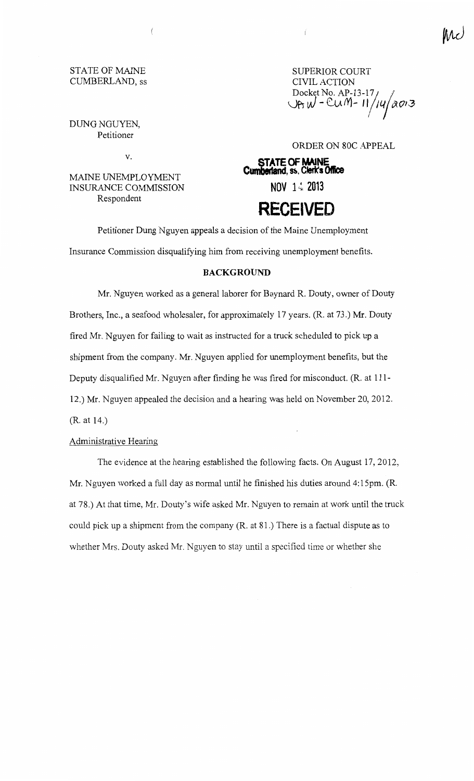# STATE OF MAINE CUMBERLAND, ss

SUPERIOR COURT CIVIL ACTION Docket No.  $AP-13-17/$  $U$ AW-CUM-11/14/2013 I

DUNG NGUYEN, Petitioner

v.

 $\left($ 

MAINE UNEMPLOYMENT INSURANCE COMMISSION Respondent

ORDER ON 80C APPEAL

**STATE OF MAINE Cumberland, ss. Clerk's Office** 

**NOV** 1·~ **2013** 

ť

# **RECEIVED**

Petitioner Dung Nguyen appeals a decision of the Maine Unemployment Insurance Commission disqualifying him from receiving unemployment benefits.

# **BACKGROUND**

Mr. Nguyen worked as a general laborer for Baynard R. Douty, owner of Douty Brothers, Inc., a seafood wholesaler, for approximately 17 years. (R. at 73.) Mr. Douty fired Mr. Nguyen for failing to wait as instructed for a truck scheduled to pick up a shipment from the company. Mr. Nguyen applied for unemployment benefits, but the Deputy disqualified Mr. Nguyen after finding he was fired for misconduct. (R. at 111- 12.) Mr. Nguyen appealed the decision and a hearing was held on November 20, 2012. (R. at 14.)

# Administrative Hearing

The evidence at the hearing established the following facts. On August 17, 2012, Mr. Nguyen worked a full day as normal until he finished his duties around 4:15pm. (R. at 78.) At that time, Mr. Douty's wife asked Mr. Nguyen to remain at work until the truck could pick up a shipment from the company (R. at 81.) There is a factual dispute as to whether Mrs. Douty asked Mr. Nguyen to stay until a specified time or whether she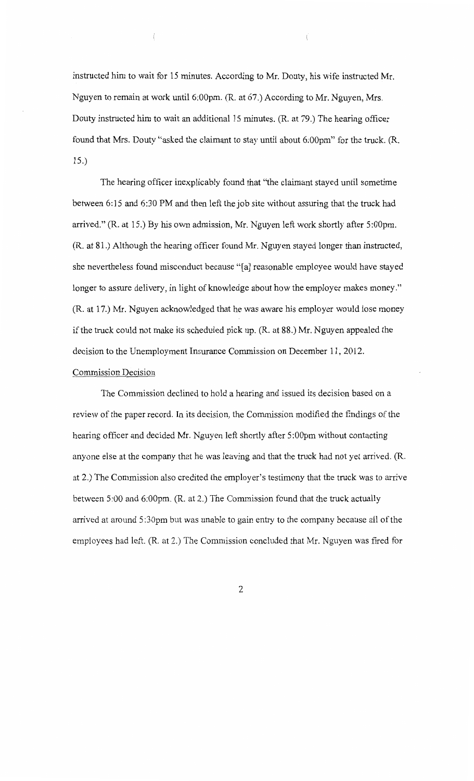instructed him to wait for 15 minutes. According to Mr. Douty, his wife instructed Mr. Nguyen to remain at work until 6:00pm. (R. at 67.) According to Mr. Nguyen, Mrs. Douty instructed him to wait an additional 15 minutes. (R. at 79.) The hearing officer found that Mrs. Douty "asked the claimant to stay until about 6:00pm" for the truck. (R. 15.)

l

The hearing officer inexplicably found that "the claimant stayed until sometime between 6:15 and 6:30PM and then left the job site without assuring that the truck had arrived." (R. at 15.) By his own admission, Mr. Nguyen left work shortly after 5:00pm. (R. at 81.) Although the hearing officer found Mr. Nguyen stayed longer than instructed, she nevertheless found misconduct because "[a] reasonable employee would have stayed longer to assure delivery, in light of knowledge about how the employer makes money." (R. at 17.) Mr. Nguyen acknowledged that he was aware his employer would lose money if the truck could not make its scheduled pick up. (R. at 88.) Mr. Nguyen appealed the decision to the Unemployment Insurance Commission on December 11, 2012.

# Commission Decision

The Commission declined to hold a hearing and issued its decision based on a review of the paper record. In its decision, the Commission modified the findings of the hearing officer and decided Mr. Nguyen left shortly after 5:00pm without contacting anyone else at the company that he was leaving and that the truck had not yet arrived. (R. at 2.) The Commission also credited the employer's testimony that the truck was to arrive between 5:00 and 6:00pm. (R. at 2.) The Commission found that the truck actually arrived at around 5:30pm but was unable to gain entry to the company because all of the employees had left. (R. at 2.) The Commission concluded that Mr. Nguyen was fired for

2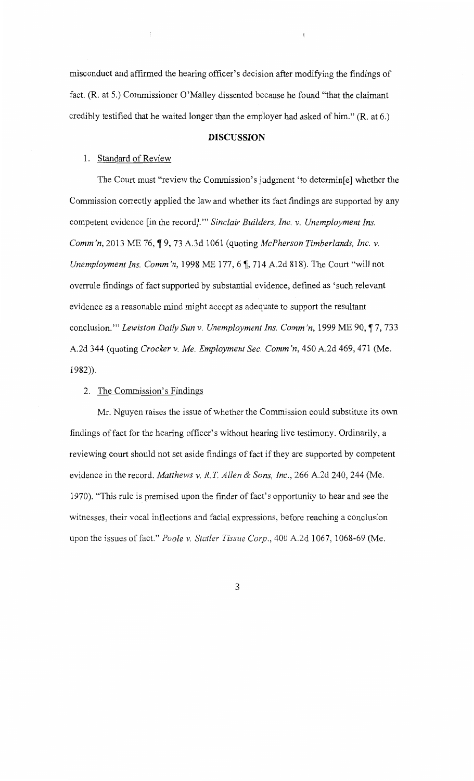misconduct and affirmed the hearing officer's decision after modifying the findings of fact. (R. at 5.) Commissioner O'Malley dissented because he found "that the claimant credibly testified that he waited longer than the employer had asked of him." (R. at 6.)

#### **DISCUSSION**

#### 1. Standard of Review

 $\langle$ 

The Court must "review the Commission's judgment 'to determin[e] whether the Commission correctly applied the law and whether its fact findings are supported by any competent evidence [in the record]."' *Sinclair Builders, Inc. v. Unemployment Ins. Comm'n,* 2013 ME 76, ¶ 9, 73 A.3d 1061 (quoting *McPherson Timberlands, Inc. v. Unemployment Ins. Comm'n,* 1998 ME 177, 6  $\parallel$ , 714 A.2d 818). The Court "will not overrule findings of fact supported by substantial evidence, defined as 'such relevant evidence as a reasonable mind might accept as adequate to support the resultant conclusion."" *Lewiston Daily Sun v. Unemployment Ins. Comm'n,* 1999 ME 90, ¶ 7, 733 A.2d 344 (quoting *Crocker v. Me. Employment Sec. Comm 'n,* 450 A.2d 469,471 (Me. 1982)).

#### 2. The Commission's Findings

Mr. Nguyen raises the issue of whether the Commission could substitute its own findings of fact for the hearing officer's without hearing live testimony. Ordinarily, a reviewing court should not set aside findings of fact if they are supported by competent evidence in the record. *Matthews v. R. T Allen* & *Sons, Inc.,* 266 A.2d 240, 244 (Me. 1970). "This rule is premised upon the finder of fact's opportunity to hear and see the witnesses, their vocal inflections and facial expressions, before reaching a conclusion upon the issues of fact." *Poole v. Statler Tissue Corp.,* 400 A.2d 1067, 1068-69 (Me.

3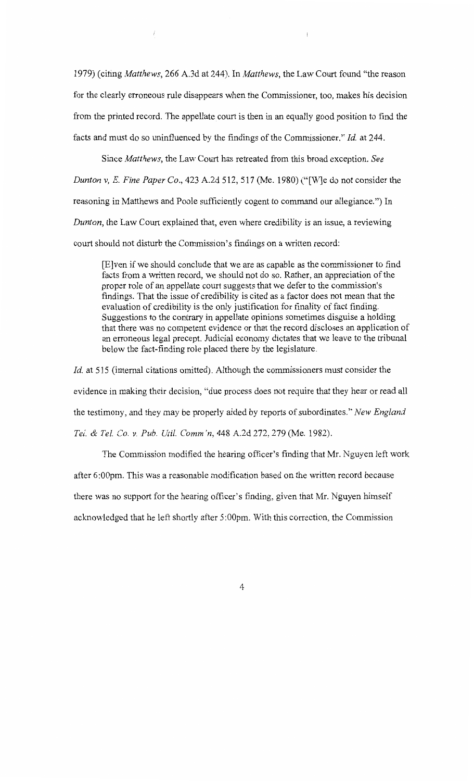1979) (citing *Matthews,* 266 A.3d at 244). In *Matthews,* the Law Court found "the reason for the clearly erroneous rule disappears when the Commissioner, too, makes his decision from the printed record. The appellate court is then in an equally good position to find the facts and must do so uninfluenced by the findings of the Commissioner." *Id.* at 244.

 $\left($ 

 $\vec{l}$ 

Since *Matthews,* the Law Court has retreated from this broad exception. *See Dunton v, E. Fine Paper Co.,* 423 A.2d 512, 517 (Me. 1980) ("[W]e do not consider the reasoning in Matthews and Poole sufficiently cogent to command our allegiance.") In *Dunton*, the Law Court explained that, even where credibility is an issue, a reviewing court should not disturb the Commission's findings on a written record:

[E]ven if we should conclude that we are as capable as the commissioner to find facts from a written record, we should not do so. Rather, an appreciation of the proper role of an appellate court suggests that we defer to the commission's findings. That the issue of credibility is cited as a factor does not mean that the evaluation of credibility is the only justification for finality of fact finding. Suggestions to the contrary in appellate opinions sometimes disguise a holding that there was no competent evidence or that the record discloses an application of an erroneous legal precept. Judicial economy dictates that we leave to the tribunal below the fact-finding role placed there by the legislature.

*Id.* at 515 (internal citations omitted). Although the commissioners must consider the evidence in making their decision, "due process does not require that they hear or read all the testimony, and they may be properly aided by reports of subordinates." *New England Tel.* & *Tel.* Co. *v. Pub. Uti!. Comm 'n,* 448 A.2d 272, 279 (Me. 1982).

The Commission modified the hearing officer's finding that Mr. Nguyen left work after 6:00pm. This was a reasonable modification based on the written record because there was no support for the hearing officer's finding, given that Mr. Nguyen himself acknowledged that he left shortly after 5:OOpm. With this correction, the Commission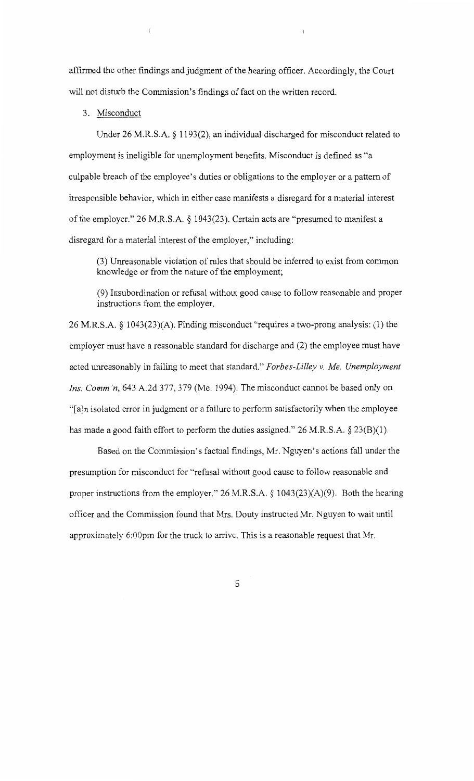affirmed the other findings and judgment of the hearing officer. Accordingly, the Court will not disturb the Commission's findings of fact on the written record.

#### 3. Misconduct

 $\{$ 

Under 26 M.R.S.A. § 1193(2), an individual discharged for misconduct related to employment is ineligible for unemployment benefits. Misconduct is defined as "a culpable breach of the employee's duties or obligations to the employer or a pattern of irresponsible behavior, which in either case manifests a disregard for a material interest of the employer." 26 M.R.S.A. § 1043(23). Certain acts are "presumed to manifest a disregard for a material interest of the employer," including:

(3) Unreasonable violation of rules that should be inferred to exist from common knowledge or from the nature of the employment;

(9) Insubordination or refusal without good cause to follow reasonable and proper instructions from the employer.

26 M.R.S.A. § 1043(23)(A). Finding misconduct "requires a two-prong analysis: (1) the employer must have a reasonable standard for discharge and (2) the employee must have acted unreasonably in failing to meet that standard." *Forbes-Lilley v. Me. Unemployment Ins. Comm 'n,* 643 A.2d 377, 379 (Me. 1994). The misconduct cannot be based only on "[a]n isolated error in judgment or a failure to perform satisfactorily when the employee has made a good faith effort to perform the duties assigned." 26 M.R.S.A.  $\S$  23(B)(1).

Based on the Commission's factual findings, Mr. Nguyen's actions fall under the presumption for misconduct for "refusal without good cause to follow reasonable and proper instructions from the employer." 26 M.R.S.A. § 1043(23)(A)(9). Both the hearing officer and the Commission found that Mrs. Douty instructed Mr. Nguyen to wait until approximately 6:00pm for the truck to arrive. This is a reasonable request that Mr.